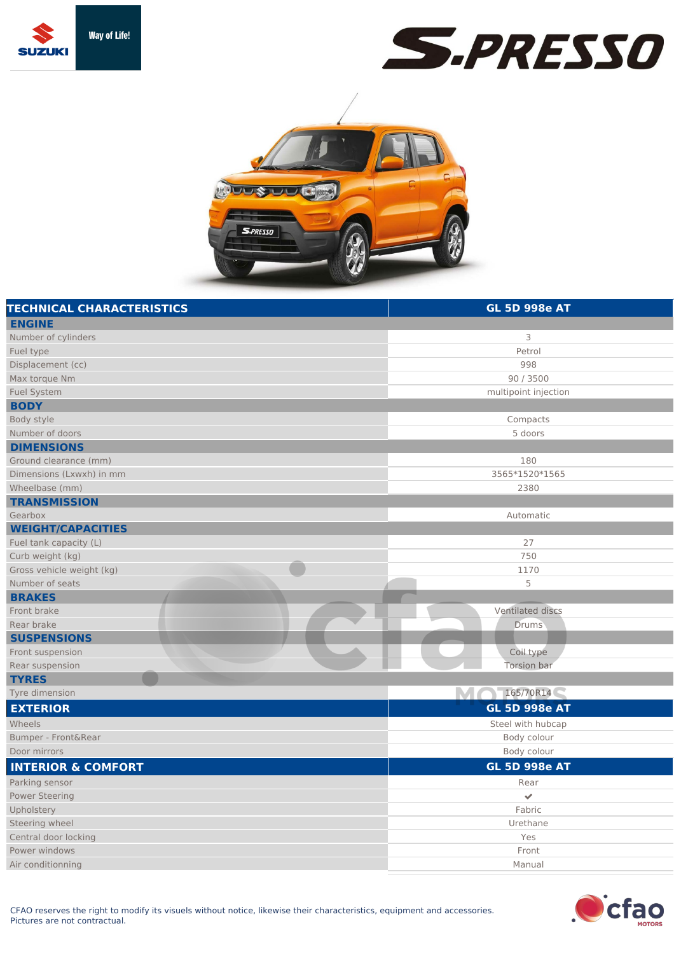





| <b>TECHNICAL CHARACTERISTICS</b> | <b>GL 5D 998e AT</b> |
|----------------------------------|----------------------|
| <b>ENGINE</b>                    |                      |
| Number of cylinders              | 3                    |
| Fuel type                        | Petrol               |
| Displacement (cc)                | 998                  |
| Max torque Nm                    | 90 / 3500            |
| <b>Fuel System</b>               | multipoint injection |
| <b>BODY</b>                      |                      |
| Body style                       | Compacts             |
| Number of doors                  | 5 doors              |
| <b>DIMENSIONS</b>                |                      |
| Ground clearance (mm)            | 180                  |
| Dimensions (Lxwxh) in mm         | 3565*1520*1565       |
| Wheelbase (mm)                   | 2380                 |
| <b>TRANSMISSION</b>              |                      |
| Gearbox                          | Automatic            |
| <b>WEIGHT/CAPACITIES</b>         |                      |
| Fuel tank capacity (L)           | 27                   |
| Curb weight (kg)                 | 750                  |
| Gross vehicle weight (kg)        | 1170                 |
| Number of seats                  | 5                    |
| <b>BRAKES</b>                    |                      |
| Front brake                      | Ventilated discs     |
| Rear brake                       | Drums                |
| <b>SUSPENSIONS</b>               |                      |
| Front suspension                 | Coil type            |
| Rear suspension                  | Torsion bar          |
| <b>TYRES</b>                     |                      |
| Tyre dimension                   | M 165/70R14          |
| <b>EXTERIOR</b>                  | <b>GL 5D 998e AT</b> |
| Wheels                           | Steel with hubcap    |
| Bumper - Front&Rear              | Body colour          |
| Door mirrors                     | Body colour          |
| <b>INTERIOR &amp; COMFORT</b>    | <b>GL 5D 998e AT</b> |
| Parking sensor                   | Rear                 |
| <b>Power Steering</b>            | $\checkmark$         |
| Upholstery                       | Fabric               |
| Steering wheel                   | Urethane             |
| Central door locking             | Yes                  |
| Power windows                    | Front                |
| Air conditionning                | Manual               |
|                                  |                      |